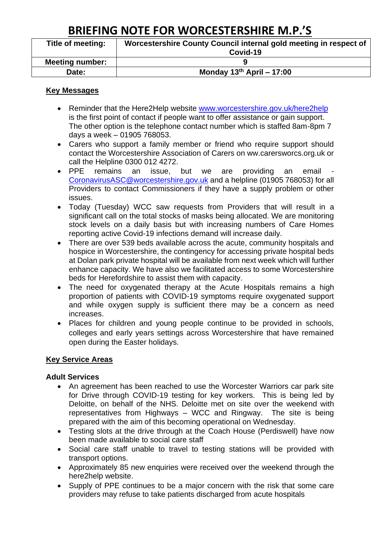# **BRIEFING NOTE FOR WORCESTERSHIRE M.P.'S**

| Title of meeting:      | Worcestershire County Council internal gold meeting in respect of<br>Covid-19 |  |
|------------------------|-------------------------------------------------------------------------------|--|
| <b>Meeting number:</b> |                                                                               |  |
| Date:                  | Monday $13^{th}$ April - 17:00                                                |  |

### **Key Messages**

- Reminder that the Here2Help website [www.worcestershire.gov.uk/here2help](http://www.worcestershire.gov.uk/here2help) is the first point of contact if people want to offer assistance or gain support. The other option is the telephone contact number which is staffed 8am-8pm 7 days a week – 01905 768053.
- Carers who support a family member or friend who require support should contact the Worcestershire Association of Carers on ww.carersworcs.org.uk or call the Helpline 0300 012 4272.
- PPE remains an issue, but we are providing an email [CoronavirusASC@worcestershire.gov.uk](mailto:CoronavirusASC@worcestershire.gov.uk) and a helpline (01905 768053) for all Providers to contact Commissioners if they have a supply problem or other issues.
- Today (Tuesday) WCC saw requests from Providers that will result in a significant call on the total stocks of masks being allocated. We are monitoring stock levels on a daily basis but with increasing numbers of Care Homes reporting active Covid-19 infections demand will increase daily.
- There are over 539 beds available across the acute, community hospitals and hospice in Worcestershire, the contingency for accessing private hospital beds at Dolan park private hospital will be available from next week which will further enhance capacity. We have also we facilitated access to some Worcestershire beds for Herefordshire to assist them with capacity.
- The need for oxygenated therapy at the Acute Hospitals remains a high proportion of patients with COVID-19 symptoms require oxygenated support and while oxygen supply is sufficient there may be a concern as need increases.
- Places for children and young people continue to be provided in schools, colleges and early years settings across Worcestershire that have remained open during the Easter holidays.

### **Key Service Areas**

### **Adult Services**

- An agreement has been reached to use the Worcester Warriors car park site for Drive through COVID-19 testing for key workers. This is being led by Deloitte, on behalf of the NHS. Deloitte met on site over the weekend with representatives from Highways – WCC and Ringway. The site is being prepared with the aim of this becoming operational on Wednesday.
- Testing slots at the drive through at the Coach House (Perdiswell) have now been made available to social care staff
- Social care staff unable to travel to testing stations will be provided with transport options.
- Approximately 85 new enquiries were received over the weekend through the here2help website.
- Supply of PPE continues to be a major concern with the risk that some care providers may refuse to take patients discharged from acute hospitals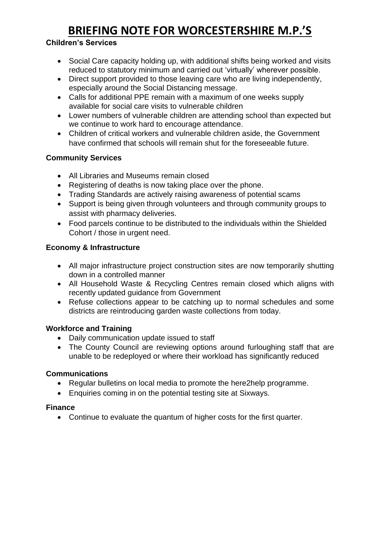# **BRIEFING NOTE FOR WORCESTERSHIRE M.P.'S**

# **Children's Services**

- Social Care capacity holding up, with additional shifts being worked and visits reduced to statutory minimum and carried out 'virtually' wherever possible.
- Direct support provided to those leaving care who are living independently, especially around the Social Distancing message.
- Calls for additional PPE remain with a maximum of one weeks supply available for social care visits to vulnerable children
- Lower numbers of vulnerable children are attending school than expected but we continue to work hard to encourage attendance.
- Children of critical workers and vulnerable children aside, the Government have confirmed that schools will remain shut for the foreseeable future.

# **Community Services**

- All Libraries and Museums remain closed
- Registering of deaths is now taking place over the phone.
- Trading Standards are actively raising awareness of potential scams
- Support is being given through volunteers and through community groups to assist with pharmacy deliveries.
- Food parcels continue to be distributed to the individuals within the Shielded Cohort / those in urgent need.

## **Economy & Infrastructure**

- All major infrastructure project construction sites are now temporarily shutting down in a controlled manner
- All Household Waste & Recycling Centres remain closed which aligns with recently updated guidance from Government
- Refuse collections appear to be catching up to normal schedules and some districts are reintroducing garden waste collections from today.

## **Workforce and Training**

- Daily communication update issued to staff
- The County Council are reviewing options around furloughing staff that are unable to be redeployed or where their workload has significantly reduced

## **Communications**

- Regular bulletins on local media to promote the here2help programme.
- Enquiries coming in on the potential testing site at Sixways.

## **Finance**

• Continue to evaluate the quantum of higher costs for the first quarter.